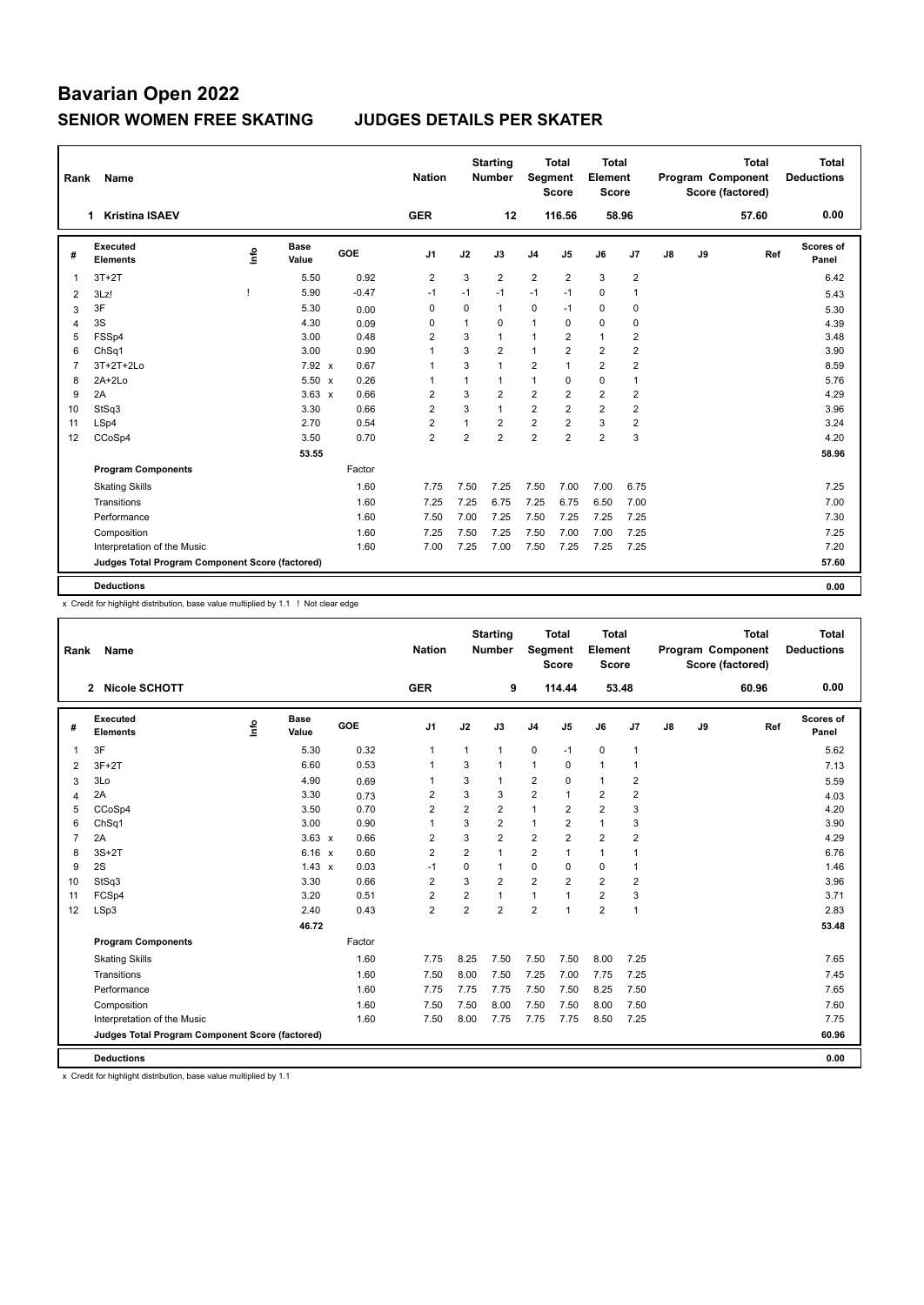| Rank           | Name                                            |      |                      |         | <b>Nation</b>  |                | <b>Starting</b><br><b>Number</b> | <b>Segment</b> | <b>Total</b><br><b>Score</b> | <b>Total</b><br>Element<br><b>Score</b> |                |    |    | <b>Total</b><br>Program Component<br>Score (factored) | Total<br><b>Deductions</b> |
|----------------|-------------------------------------------------|------|----------------------|---------|----------------|----------------|----------------------------------|----------------|------------------------------|-----------------------------------------|----------------|----|----|-------------------------------------------------------|----------------------------|
|                | 1 Kristina ISAEV                                |      |                      |         | <b>GER</b>     |                | 12                               |                | 116.56                       |                                         | 58.96          |    |    | 57.60                                                 | 0.00                       |
| #              | <b>Executed</b><br><b>Elements</b>              | lnfo | <b>Base</b><br>Value | GOE     | J1             | J2             | J3                               | J <sub>4</sub> | J5                           | J6                                      | J7             | J8 | J9 | Ref                                                   | Scores of<br>Panel         |
| 1              | $3T+2T$                                         |      | 5.50                 | 0.92    | $\overline{2}$ | 3              | $\overline{2}$                   | 2              | $\overline{2}$               | 3                                       | $\overline{2}$ |    |    |                                                       | 6.42                       |
| 2              | 3Lz!                                            | -1   | 5.90                 | $-0.47$ | $-1$           | $-1$           | $-1$                             | $-1$           | $-1$                         | $\mathbf 0$                             | 1              |    |    |                                                       | 5.43                       |
| 3              | 3F                                              |      | 5.30                 | 0.00    | 0              | 0              | 1                                | 0              | $-1$                         | 0                                       | 0              |    |    |                                                       | 5.30                       |
| 4              | 3S                                              |      | 4.30                 | 0.09    | 0              | $\mathbf{1}$   | 0                                | $\mathbf{1}$   | $\Omega$                     | 0                                       | 0              |    |    |                                                       | 4.39                       |
| 5              | FSSp4                                           |      | 3.00                 | 0.48    | $\overline{2}$ | 3              | 1                                | $\mathbf{1}$   | $\overline{2}$               | $\mathbf{1}$                            | $\overline{2}$ |    |    |                                                       | 3.48                       |
| 6              | ChSq1                                           |      | 3.00                 | 0.90    | $\overline{1}$ | 3              | $\overline{2}$                   | $\mathbf{1}$   | $\overline{2}$               | $\overline{2}$                          | $\overline{2}$ |    |    |                                                       | 3.90                       |
| $\overline{7}$ | 3T+2T+2Lo                                       |      | 7.92 x               | 0.67    | $\overline{1}$ | 3              | 1                                | 2              | $\mathbf{1}$                 | $\overline{2}$                          | $\overline{2}$ |    |    |                                                       | 8.59                       |
| 8              | $2A+2Lo$                                        |      | $5.50 \times$        | 0.26    | $\overline{1}$ | $\mathbf{1}$   | 1                                | $\mathbf{1}$   | $\Omega$                     | $\Omega$                                | $\overline{1}$ |    |    |                                                       | 5.76                       |
| 9              | 2A                                              |      | $3.63 \times$        | 0.66    | 2              | 3              | $\overline{2}$                   | $\overline{2}$ | 2                            | $\overline{2}$                          | 2              |    |    |                                                       | 4.29                       |
| 10             | StSq3                                           |      | 3.30                 | 0.66    | $\overline{2}$ | 3              | 1                                | $\overline{2}$ | $\overline{2}$               | $\overline{2}$                          | $\overline{2}$ |    |    |                                                       | 3.96                       |
| 11             | LSp4                                            |      | 2.70                 | 0.54    | $\overline{2}$ | 1              | $\overline{2}$                   | $\overline{2}$ | $\overline{2}$               | 3                                       | $\overline{2}$ |    |    |                                                       | 3.24                       |
| 12             | CCoSp4                                          |      | 3.50                 | 0.70    | $\overline{2}$ | $\overline{2}$ | $\overline{2}$                   | $\overline{2}$ | $\overline{2}$               | $\overline{2}$                          | 3              |    |    |                                                       | 4.20                       |
|                |                                                 |      | 53.55                |         |                |                |                                  |                |                              |                                         |                |    |    |                                                       | 58.96                      |
|                | <b>Program Components</b>                       |      |                      | Factor  |                |                |                                  |                |                              |                                         |                |    |    |                                                       |                            |
|                | <b>Skating Skills</b>                           |      |                      | 1.60    | 7.75           | 7.50           | 7.25                             | 7.50           | 7.00                         | 7.00                                    | 6.75           |    |    |                                                       | 7.25                       |
|                | Transitions                                     |      |                      | 1.60    | 7.25           | 7.25           | 6.75                             | 7.25           | 6.75                         | 6.50                                    | 7.00           |    |    |                                                       | 7.00                       |
|                | Performance                                     |      |                      | 1.60    | 7.50           | 7.00           | 7.25                             | 7.50           | 7.25                         | 7.25                                    | 7.25           |    |    |                                                       | 7.30                       |
|                | Composition                                     |      |                      | 1.60    | 7.25           | 7.50           | 7.25                             | 7.50           | 7.00                         | 7.00                                    | 7.25           |    |    |                                                       | 7.25                       |
|                | Interpretation of the Music                     |      |                      | 1.60    | 7.00           | 7.25           | 7.00                             | 7.50           | 7.25                         | 7.25                                    | 7.25           |    |    |                                                       | 7.20                       |
|                | Judges Total Program Component Score (factored) |      |                      |         |                |                |                                  |                |                              |                                         |                |    |    |                                                       | 57.60                      |
|                |                                                 |      |                      |         |                |                |                                  |                |                              |                                         |                |    |    |                                                       |                            |
|                | <b>Deductions</b>                               |      |                      |         |                |                |                                  |                |                              |                                         |                |    |    |                                                       | 0.00                       |

x Credit for highlight distribution, base value multiplied by 1.1 ! Not clear edge

| Rank           | Name                                            |    |                      |        | <b>Nation</b>  |                | <b>Starting</b><br><b>Number</b> | Segment        | <b>Total</b><br><b>Score</b> | Total<br>Element<br><b>Score</b> |                |    |    | <b>Total</b><br>Program Component<br>Score (factored) | <b>Total</b><br><b>Deductions</b> |
|----------------|-------------------------------------------------|----|----------------------|--------|----------------|----------------|----------------------------------|----------------|------------------------------|----------------------------------|----------------|----|----|-------------------------------------------------------|-----------------------------------|
|                | 2 Nicole SCHOTT                                 |    |                      |        | <b>GER</b>     |                | 9                                |                | 114.44                       |                                  | 53.48          |    |    | 60.96                                                 | 0.00                              |
| #              | Executed<br><b>Elements</b>                     | ۴٥ | <b>Base</b><br>Value | GOE    | J <sub>1</sub> | J2             | J3                               | J <sub>4</sub> | J5                           | J6                               | J <sub>7</sub> | J8 | J9 | Ref                                                   | Scores of<br>Panel                |
| 1              | 3F                                              |    | 5.30                 | 0.32   | $\mathbf 1$    | $\mathbf{1}$   | 1                                | $\mathbf 0$    | $-1$                         | $\mathbf 0$                      | $\overline{1}$ |    |    |                                                       | 5.62                              |
| 2              | $3F+2T$                                         |    | 6.60                 | 0.53   | $\mathbf{1}$   | 3              | 1                                | $\mathbf{1}$   | 0                            | $\mathbf{1}$                     | $\overline{1}$ |    |    |                                                       | 7.13                              |
| 3              | 3Lo                                             |    | 4.90                 | 0.69   | $\overline{1}$ | 3              | $\mathbf{1}$                     | $\overline{2}$ | 0                            | $\mathbf{1}$                     | 2              |    |    |                                                       | 5.59                              |
| $\overline{4}$ | 2A                                              |    | 3.30                 | 0.73   | $\overline{2}$ | 3              | 3                                | $\overline{2}$ | $\mathbf{1}$                 | $\overline{2}$                   | $\overline{2}$ |    |    |                                                       | 4.03                              |
| 5              | CCoSp4                                          |    | 3.50                 | 0.70   | $\overline{2}$ | $\overline{2}$ | $\overline{2}$                   | $\mathbf{1}$   | $\overline{2}$               | $\overline{2}$                   | 3              |    |    |                                                       | 4.20                              |
| 6              | ChSq1                                           |    | 3.00                 | 0.90   | $\overline{1}$ | 3              | $\overline{2}$                   | $\mathbf{1}$   | $\overline{2}$               | $\mathbf{1}$                     | 3              |    |    |                                                       | 3.90                              |
| $\overline{7}$ | 2A                                              |    | $3.63 \times$        | 0.66   | $\overline{2}$ | 3              | $\overline{2}$                   | $\overline{2}$ | $\overline{2}$               | $\overline{2}$                   | $\overline{2}$ |    |    |                                                       | 4.29                              |
| 8              | $3S+2T$                                         |    | $6.16 \times$        | 0.60   | $\overline{2}$ | $\overline{2}$ | $\mathbf{1}$                     | $\overline{2}$ | 1                            | $\mathbf{1}$                     | 1              |    |    |                                                       | 6.76                              |
| 9              | 2S                                              |    | $1.43 \times$        | 0.03   | $-1$           | $\mathbf 0$    | 1                                | $\mathbf 0$    | $\Omega$                     | $\mathbf 0$                      | $\overline{1}$ |    |    |                                                       | 1.46                              |
| 10             | StSq3                                           |    | 3.30                 | 0.66   | $\overline{2}$ | 3              | $\overline{2}$                   | $\overline{2}$ | $\overline{2}$               | $\overline{2}$                   | $\overline{2}$ |    |    |                                                       | 3.96                              |
| 11             | FCSp4                                           |    | 3.20                 | 0.51   | $\overline{2}$ | $\overline{2}$ | 1                                | $\mathbf{1}$   | 1                            | $\overline{2}$                   | 3              |    |    |                                                       | 3.71                              |
| 12             | LSp3                                            |    | 2.40                 | 0.43   | $\overline{2}$ | $\overline{2}$ | $\overline{2}$                   | $\overline{2}$ | $\overline{1}$               | $\overline{2}$                   | $\overline{1}$ |    |    |                                                       | 2.83                              |
|                |                                                 |    | 46.72                |        |                |                |                                  |                |                              |                                  |                |    |    |                                                       | 53.48                             |
|                | <b>Program Components</b>                       |    |                      | Factor |                |                |                                  |                |                              |                                  |                |    |    |                                                       |                                   |
|                | <b>Skating Skills</b>                           |    |                      | 1.60   | 7.75           | 8.25           | 7.50                             | 7.50           | 7.50                         | 8.00                             | 7.25           |    |    |                                                       | 7.65                              |
|                | Transitions                                     |    |                      | 1.60   | 7.50           | 8.00           | 7.50                             | 7.25           | 7.00                         | 7.75                             | 7.25           |    |    |                                                       | 7.45                              |
|                | Performance                                     |    |                      | 1.60   | 7.75           | 7.75           | 7.75                             | 7.50           | 7.50                         | 8.25                             | 7.50           |    |    |                                                       | 7.65                              |
|                | Composition                                     |    |                      | 1.60   | 7.50           | 7.50           | 8.00                             | 7.50           | 7.50                         | 8.00                             | 7.50           |    |    |                                                       | 7.60                              |
|                | Interpretation of the Music                     |    |                      | 1.60   | 7.50           | 8.00           | 7.75                             | 7.75           | 7.75                         | 8.50                             | 7.25           |    |    |                                                       | 7.75                              |
|                | Judges Total Program Component Score (factored) |    |                      |        |                |                |                                  |                |                              |                                  |                |    |    |                                                       | 60.96                             |
|                | <b>Deductions</b>                               |    |                      |        |                |                |                                  |                |                              |                                  |                |    |    |                                                       | 0.00                              |

x Credit for highlight distribution, base value multiplied by 1.1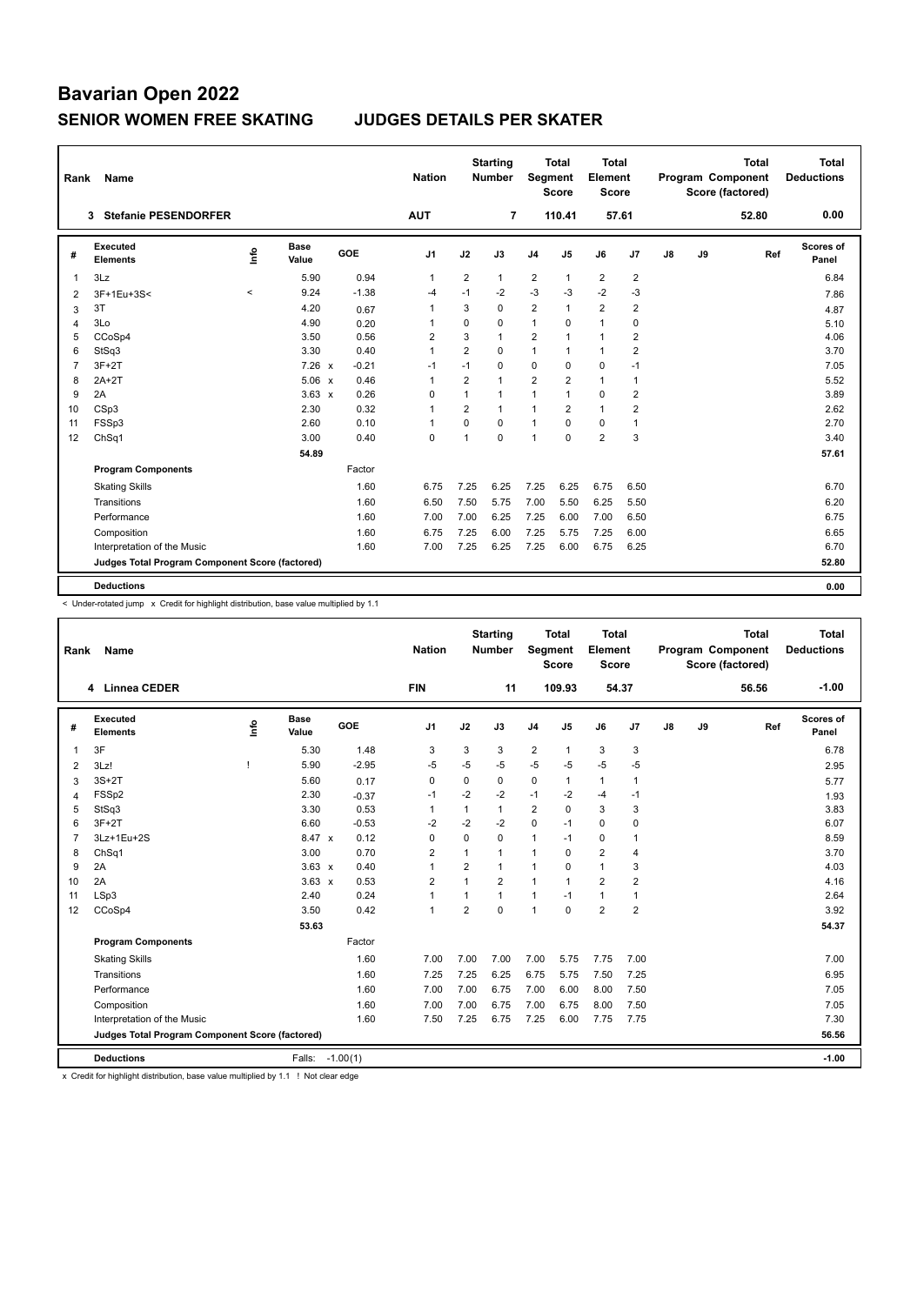| Rank           | <b>Name</b>                                     |             |               |         | <b>Nation</b>  |                | <b>Starting</b><br><b>Number</b> | <b>Segment</b> | <b>Total</b><br><b>Score</b> | Total<br>Element<br><b>Score</b> |                |    |    | <b>Total</b><br>Program Component<br>Score (factored) | Total<br><b>Deductions</b> |
|----------------|-------------------------------------------------|-------------|---------------|---------|----------------|----------------|----------------------------------|----------------|------------------------------|----------------------------------|----------------|----|----|-------------------------------------------------------|----------------------------|
|                | <b>Stefanie PESENDORFER</b><br>3                |             |               |         | <b>AUT</b>     |                | $\overline{7}$                   |                | 110.41                       | 57.61                            |                |    |    | 52.80                                                 | 0.00                       |
| #              | Executed<br><b>Elements</b>                     | <u>lnfo</u> | Base<br>Value | GOE     | J <sub>1</sub> | J2             | J3                               | J <sub>4</sub> | J <sub>5</sub>               | J6                               | J7             | J8 | J9 | Ref                                                   | Scores of<br>Panel         |
| $\overline{1}$ | 3Lz                                             |             | 5.90          | 0.94    | 1              | $\overline{2}$ | $\mathbf{1}$                     | $\overline{2}$ | 1                            | $\overline{2}$                   | $\overline{2}$ |    |    |                                                       | 6.84                       |
| 2              | 3F+1Eu+3S<                                      | $\prec$     | 9.24          | $-1.38$ | $-4$           | $-1$           | $-2$                             | $-3$           | $-3$                         | $-2$                             | $-3$           |    |    |                                                       | 7.86                       |
| 3              | 3T                                              |             | 4.20          | 0.67    | 1              | 3              | 0                                | $\overline{2}$ | 1                            | $\overline{2}$                   | $\overline{2}$ |    |    |                                                       | 4.87                       |
| $\overline{4}$ | 3Lo                                             |             | 4.90          | 0.20    | 1              | $\mathbf 0$    | 0                                | $\mathbf{1}$   | $\Omega$                     | $\mathbf{1}$                     | 0              |    |    |                                                       | 5.10                       |
| 5              | CCoSp4                                          |             | 3.50          | 0.56    | $\overline{2}$ | 3              | $\mathbf{1}$                     | $\overline{2}$ | $\overline{1}$               | $\mathbf{1}$                     | $\overline{2}$ |    |    |                                                       | 4.06                       |
| 6              | StSq3                                           |             | 3.30          | 0.40    | $\mathbf{1}$   | $\overline{2}$ | $\Omega$                         | $\mathbf{1}$   | 1                            | $\mathbf{1}$                     | $\overline{2}$ |    |    |                                                       | 3.70                       |
| $\overline{7}$ | $3F+2T$                                         |             | $7.26 \times$ | $-0.21$ | $-1$           | $-1$           | $\Omega$                         | $\mathbf 0$    | $\Omega$                     | $\mathbf 0$                      | $-1$           |    |    |                                                       | 7.05                       |
| 8              | $2A+2T$                                         |             | $5.06 \times$ | 0.46    | $\mathbf{1}$   | $\overline{2}$ | $\mathbf{1}$                     | $\overline{2}$ | 2                            | $\mathbf{1}$                     | $\mathbf{1}$   |    |    |                                                       | 5.52                       |
| 9              | 2A                                              |             | $3.63 \times$ | 0.26    | 0              | $\mathbf{1}$   | $\mathbf{1}$                     | $\mathbf{1}$   | 1                            | 0                                | $\overline{2}$ |    |    |                                                       | 3.89                       |
| 10             | CSp3                                            |             | 2.30          | 0.32    | 1              | $\overline{2}$ | $\mathbf{1}$                     | $\mathbf{1}$   | 2                            | $\mathbf{1}$                     | $\overline{2}$ |    |    |                                                       | 2.62                       |
| 11             | FSSp3                                           |             | 2.60          | 0.10    | $\mathbf 1$    | $\Omega$       | $\Omega$                         | $\mathbf{1}$   | $\Omega$                     | $\mathbf 0$                      | $\overline{1}$ |    |    |                                                       | 2.70                       |
| 12             | ChSq1                                           |             | 3.00          | 0.40    | $\mathbf 0$    | 1              | $\Omega$                         | $\overline{1}$ | $\Omega$                     | $\overline{2}$                   | 3              |    |    |                                                       | 3.40                       |
|                |                                                 |             | 54.89         |         |                |                |                                  |                |                              |                                  |                |    |    |                                                       | 57.61                      |
|                | <b>Program Components</b>                       |             |               | Factor  |                |                |                                  |                |                              |                                  |                |    |    |                                                       |                            |
|                | <b>Skating Skills</b>                           |             |               | 1.60    | 6.75           | 7.25           | 6.25                             | 7.25           | 6.25                         | 6.75                             | 6.50           |    |    |                                                       | 6.70                       |
|                | Transitions                                     |             |               | 1.60    | 6.50           | 7.50           | 5.75                             | 7.00           | 5.50                         | 6.25                             | 5.50           |    |    |                                                       | 6.20                       |
|                | Performance                                     |             |               | 1.60    | 7.00           | 7.00           | 6.25                             | 7.25           | 6.00                         | 7.00                             | 6.50           |    |    |                                                       | 6.75                       |
|                | Composition                                     |             |               | 1.60    | 6.75           | 7.25           | 6.00                             | 7.25           | 5.75                         | 7.25                             | 6.00           |    |    |                                                       | 6.65                       |
|                | Interpretation of the Music                     |             |               | 1.60    | 7.00           | 7.25           | 6.25                             | 7.25           | 6.00                         | 6.75                             | 6.25           |    |    |                                                       | 6.70                       |
|                | Judges Total Program Component Score (factored) |             |               |         |                |                |                                  |                |                              |                                  |                |    |    |                                                       | 52.80                      |
|                |                                                 |             |               |         |                |                |                                  |                |                              |                                  |                |    |    |                                                       |                            |
|                | <b>Deductions</b>                               |             |               |         |                |                |                                  |                |                              |                                  |                |    |    |                                                       | 0.00                       |

< Under-rotated jump x Credit for highlight distribution, base value multiplied by 1.1

| Rank           | <b>Name</b>                                     |      |                      |            | <b>Nation</b>  |                | <b>Starting</b><br><b>Number</b> | <b>Segment</b> | <b>Total</b><br><b>Score</b> | <b>Total</b><br>Element<br><b>Score</b> |                |    |    | <b>Total</b><br>Program Component<br>Score (factored) | <b>Total</b><br><b>Deductions</b> |
|----------------|-------------------------------------------------|------|----------------------|------------|----------------|----------------|----------------------------------|----------------|------------------------------|-----------------------------------------|----------------|----|----|-------------------------------------------------------|-----------------------------------|
|                | <b>Linnea CEDER</b><br>4                        |      |                      |            | <b>FIN</b>     |                | 11                               |                | 109.93                       |                                         | 54.37          |    |    | 56.56                                                 | $-1.00$                           |
| #              | Executed<br><b>Elements</b>                     | lnfo | <b>Base</b><br>Value | GOE        | J <sub>1</sub> | J2             | J3                               | J <sub>4</sub> | J <sub>5</sub>               | J6                                      | J <sub>7</sub> | J8 | J9 | Ref                                                   | Scores of<br>Panel                |
| $\overline{1}$ | 3F                                              |      | 5.30                 | 1.48       | 3              | 3              | 3                                | $\overline{2}$ | $\mathbf{1}$                 | 3                                       | 3              |    |    |                                                       | 6.78                              |
| 2              | 3Lz!                                            |      | 5.90                 | $-2.95$    | $-5$           | $-5$           | -5                               | $-5$           | $-5$                         | $-5$                                    | $-5$           |    |    |                                                       | 2.95                              |
| 3              | $3S+2T$                                         |      | 5.60                 | 0.17       | $\mathbf 0$    | 0              | 0                                | $\mathbf 0$    | 1                            | $\mathbf{1}$                            | $\mathbf{1}$   |    |    |                                                       | 5.77                              |
| $\overline{4}$ | FSSp2                                           |      | 2.30                 | $-0.37$    | -1             | $-2$           | $-2$                             | $-1$           | $-2$                         | $-4$                                    | $-1$           |    |    |                                                       | 1.93                              |
| 5              | StSq3                                           |      | 3.30                 | 0.53       | $\mathbf{1}$   | $\mathbf{1}$   | 1                                | $\overline{2}$ | $\Omega$                     | 3                                       | 3              |    |    |                                                       | 3.83                              |
| 6              | $3F+2T$                                         |      | 6.60                 | $-0.53$    | $-2$           | $-2$           | $-2$                             | $\mathbf 0$    | $-1$                         | 0                                       | $\mathbf 0$    |    |    |                                                       | 6.07                              |
| $\overline{7}$ | 3Lz+1Eu+2S                                      |      | 8.47 x               | 0.12       | $\mathbf 0$    | $\Omega$       | 0                                | $\mathbf{1}$   | $-1$                         | 0                                       | $\overline{1}$ |    |    |                                                       | 8.59                              |
| 8              | ChSq1                                           |      | 3.00                 | 0.70       | 2              | 1              | 1                                | $\mathbf{1}$   | $\Omega$                     | $\overline{2}$                          | $\overline{4}$ |    |    |                                                       | 3.70                              |
| 9              | 2A                                              |      | $3.63 \times$        | 0.40       | $\overline{1}$ | $\overline{2}$ | 1                                | $\mathbf{1}$   | $\Omega$                     | 1                                       | 3              |    |    |                                                       | 4.03                              |
| 10             | 2A                                              |      | $3.63 \times$        | 0.53       | 2              | $\mathbf{1}$   | $\overline{2}$                   | $\mathbf{1}$   | $\mathbf{1}$                 | $\overline{2}$                          | $\overline{2}$ |    |    |                                                       | 4.16                              |
| 11             | LSp3                                            |      | 2.40                 | 0.24       | $\mathbf{1}$   | $\mathbf{1}$   | 1                                | $\mathbf{1}$   | $-1$                         | $\mathbf{1}$                            | $\overline{1}$ |    |    |                                                       | 2.64                              |
| 12             | CCoSp4                                          |      | 3.50                 | 0.42       | $\mathbf{1}$   | $\overline{2}$ | 0                                | $\overline{1}$ | $\mathbf 0$                  | $\overline{2}$                          | $\overline{2}$ |    |    |                                                       | 3.92                              |
|                |                                                 |      | 53.63                |            |                |                |                                  |                |                              |                                         |                |    |    |                                                       | 54.37                             |
|                | <b>Program Components</b>                       |      |                      | Factor     |                |                |                                  |                |                              |                                         |                |    |    |                                                       |                                   |
|                | <b>Skating Skills</b>                           |      |                      | 1.60       | 7.00           | 7.00           | 7.00                             | 7.00           | 5.75                         | 7.75                                    | 7.00           |    |    |                                                       | 7.00                              |
|                | Transitions                                     |      |                      | 1.60       | 7.25           | 7.25           | 6.25                             | 6.75           | 5.75                         | 7.50                                    | 7.25           |    |    |                                                       | 6.95                              |
|                | Performance                                     |      |                      | 1.60       | 7.00           | 7.00           | 6.75                             | 7.00           | 6.00                         | 8.00                                    | 7.50           |    |    |                                                       | 7.05                              |
|                | Composition                                     |      |                      | 1.60       | 7.00           | 7.00           | 6.75                             | 7.00           | 6.75                         | 8.00                                    | 7.50           |    |    |                                                       | 7.05                              |
|                | Interpretation of the Music                     |      |                      | 1.60       | 7.50           | 7.25           | 6.75                             | 7.25           | 6.00                         | 7.75                                    | 7.75           |    |    |                                                       | 7.30                              |
|                | Judges Total Program Component Score (factored) |      |                      |            |                |                |                                  |                |                              |                                         |                |    |    |                                                       | 56.56                             |
|                | <b>Deductions</b>                               |      | Falls:               | $-1.00(1)$ |                |                |                                  |                |                              |                                         |                |    |    |                                                       | $-1.00$                           |

x Credit for highlight distribution, base value multiplied by 1.1 ! Not clear edge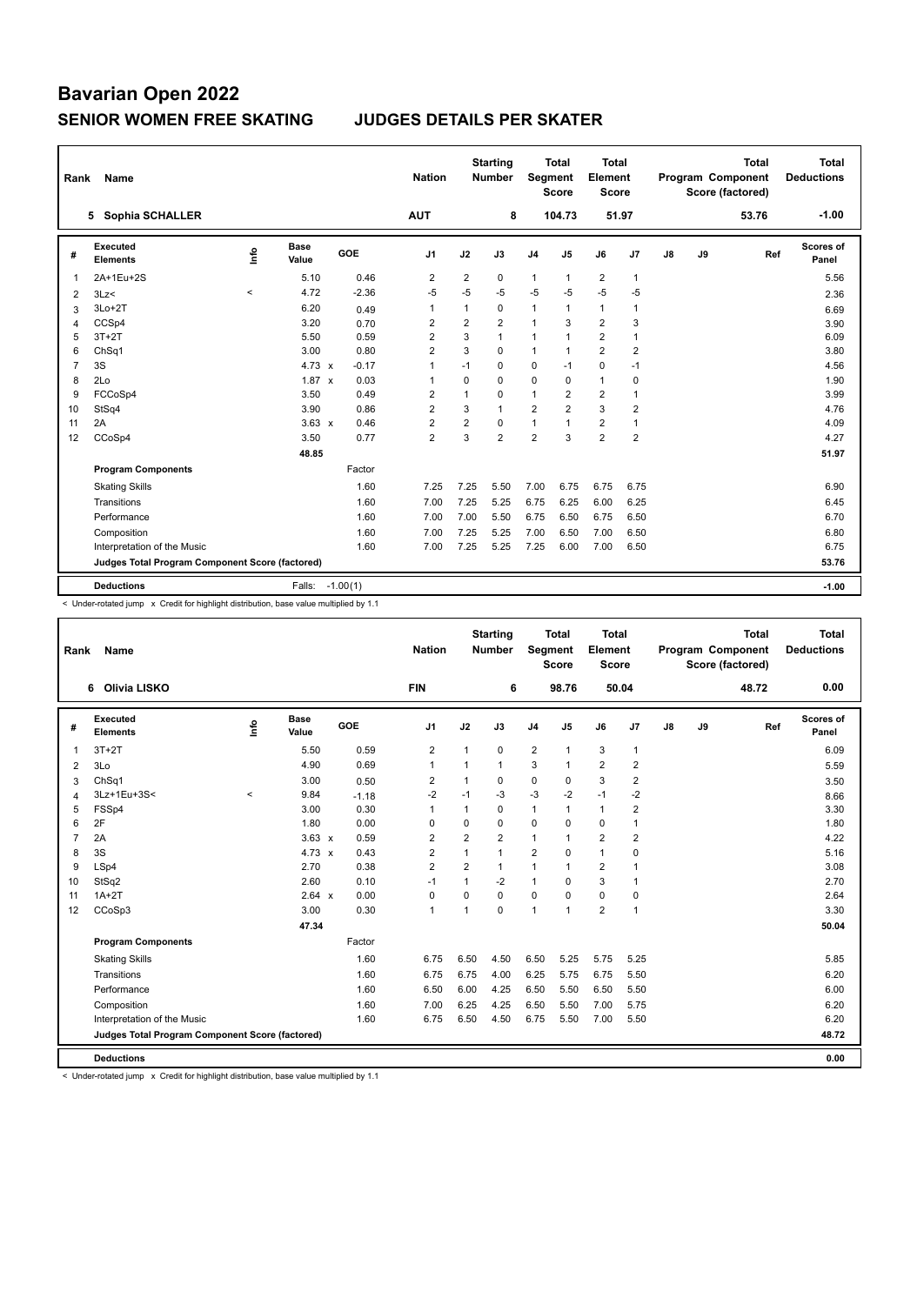| Rank           | Name                                            |         |                      |            | <b>Nation</b>  |                | <b>Starting</b><br><b>Number</b> | Segment        | Total<br><b>Score</b> | Total<br>Element<br><b>Score</b> |                |    |    | <b>Total</b><br>Program Component<br>Score (factored) | Total<br><b>Deductions</b> |
|----------------|-------------------------------------------------|---------|----------------------|------------|----------------|----------------|----------------------------------|----------------|-----------------------|----------------------------------|----------------|----|----|-------------------------------------------------------|----------------------------|
|                | 5 Sophia SCHALLER                               |         |                      |            | <b>AUT</b>     |                | 8                                |                | 104.73                | 51.97                            |                |    |    | 53.76                                                 | $-1.00$                    |
| #              | Executed<br><b>Elements</b>                     | ۴ů      | <b>Base</b><br>Value | GOE        | J <sub>1</sub> | J2             | J3                               | J <sub>4</sub> | J5                    | J6                               | J7             | J8 | J9 | Ref                                                   | Scores of<br>Panel         |
| 1              | 2A+1Eu+2S                                       |         | 5.10                 | 0.46       | $\overline{2}$ | $\overline{2}$ | 0                                | $\mathbf{1}$   | $\mathbf{1}$          | $\overline{2}$                   | $\mathbf{1}$   |    |    |                                                       | 5.56                       |
| 2              | 3Lz<                                            | $\,<\,$ | 4.72                 | $-2.36$    | $-5$           | $-5$           | $-5$                             | $-5$           | $-5$                  | $-5$                             | $-5$           |    |    |                                                       | 2.36                       |
| 3              | $3Lo+2T$                                        |         | 6.20                 | 0.49       | $\mathbf{1}$   | $\mathbf{1}$   | 0                                | $\mathbf{1}$   | $\mathbf{1}$          | $\mathbf{1}$                     | $\mathbf{1}$   |    |    |                                                       | 6.69                       |
| 4              | CCSp4                                           |         | 3.20                 | 0.70       | $\overline{2}$ | $\overline{2}$ | $\overline{2}$                   | $\overline{1}$ | 3                     | $\overline{2}$                   | 3              |    |    |                                                       | 3.90                       |
| 5              | $3T+2T$                                         |         | 5.50                 | 0.59       | $\overline{2}$ | 3              | 1                                | $\mathbf{1}$   | 1                     | $\overline{2}$                   | 1              |    |    |                                                       | 6.09                       |
| 6              | ChSq1                                           |         | 3.00                 | 0.80       | $\overline{2}$ | 3              | 0                                | $\overline{1}$ | $\mathbf{1}$          | $\overline{2}$                   | $\overline{2}$ |    |    |                                                       | 3.80                       |
| $\overline{7}$ | 3S                                              |         | $4.73 \times$        | $-0.17$    | $\overline{1}$ | $-1$           | $\Omega$                         | $\mathbf 0$    | $-1$                  | 0                                | $-1$           |    |    |                                                       | 4.56                       |
| 8              | 2Lo                                             |         | $1.87 \times$        | 0.03       | $\overline{1}$ | $\Omega$       | $\Omega$                         | $\mathbf 0$    | $\Omega$              | $\mathbf{1}$                     | 0              |    |    |                                                       | 1.90                       |
| 9              | FCCoSp4                                         |         | 3.50                 | 0.49       | $\overline{2}$ | 1              | $\Omega$                         | $\mathbf{1}$   | $\overline{2}$        | $\overline{2}$                   | $\overline{1}$ |    |    |                                                       | 3.99                       |
| 10             | StSq4                                           |         | 3.90                 | 0.86       | $\overline{2}$ | 3              | $\overline{1}$                   | $\overline{2}$ | $\overline{2}$        | 3                                | $\overline{2}$ |    |    |                                                       | 4.76                       |
| 11             | 2A                                              |         | $3.63 \times$        | 0.46       | $\overline{2}$ | $\overline{2}$ | $\Omega$                         | 1              | $\mathbf{1}$          | $\overline{2}$                   | 1              |    |    |                                                       | 4.09                       |
| 12             | CCoSp4                                          |         | 3.50                 | 0.77       | $\overline{2}$ | 3              | $\overline{2}$                   | $\overline{2}$ | 3                     | $\overline{2}$                   | $\overline{2}$ |    |    |                                                       | 4.27                       |
|                |                                                 |         | 48.85                |            |                |                |                                  |                |                       |                                  |                |    |    |                                                       | 51.97                      |
|                | <b>Program Components</b>                       |         |                      | Factor     |                |                |                                  |                |                       |                                  |                |    |    |                                                       |                            |
|                | <b>Skating Skills</b>                           |         |                      | 1.60       | 7.25           | 7.25           | 5.50                             | 7.00           | 6.75                  | 6.75                             | 6.75           |    |    |                                                       | 6.90                       |
|                | Transitions                                     |         |                      | 1.60       | 7.00           | 7.25           | 5.25                             | 6.75           | 6.25                  | 6.00                             | 6.25           |    |    |                                                       | 6.45                       |
|                | Performance                                     |         |                      | 1.60       | 7.00           | 7.00           | 5.50                             | 6.75           | 6.50                  | 6.75                             | 6.50           |    |    |                                                       | 6.70                       |
|                | Composition                                     |         |                      | 1.60       | 7.00           | 7.25           | 5.25                             | 7.00           | 6.50                  | 7.00                             | 6.50           |    |    |                                                       | 6.80                       |
|                | Interpretation of the Music                     |         |                      | 1.60       | 7.00           | 7.25           | 5.25                             | 7.25           | 6.00                  | 7.00                             | 6.50           |    |    |                                                       | 6.75                       |
|                | Judges Total Program Component Score (factored) |         |                      |            |                |                |                                  |                |                       |                                  |                |    |    |                                                       | 53.76                      |
|                | <b>Deductions</b>                               |         | Falls:               | $-1.00(1)$ |                |                |                                  |                |                       |                                  |                |    |    |                                                       | $-1.00$                    |
|                |                                                 |         |                      |            |                |                |                                  |                |                       |                                  |                |    |    |                                                       |                            |

< Under-rotated jump x Credit for highlight distribution, base value multiplied by 1.1

| Rank           | Name                                            |             |                      |         | <b>Nation</b>  |                | <b>Starting</b><br><b>Number</b> |                | <b>Total</b><br>Segment<br><b>Score</b> | <b>Total</b><br>Element<br><b>Score</b> |                |    |    | <b>Total</b><br>Program Component<br>Score (factored) | <b>Total</b><br><b>Deductions</b> |
|----------------|-------------------------------------------------|-------------|----------------------|---------|----------------|----------------|----------------------------------|----------------|-----------------------------------------|-----------------------------------------|----------------|----|----|-------------------------------------------------------|-----------------------------------|
|                | <b>Olivia LISKO</b><br>6                        |             |                      |         | <b>FIN</b>     |                | 6                                |                | 98.76                                   |                                         | 50.04          |    |    | 48.72                                                 | 0.00                              |
| #              | Executed<br><b>Elements</b>                     | <u>info</u> | <b>Base</b><br>Value | GOE     | J <sub>1</sub> | J2             | J3                               | J <sub>4</sub> | J <sub>5</sub>                          | J6                                      | J7             | J8 | J9 | Ref                                                   | <b>Scores of</b><br>Panel         |
| $\mathbf{1}$   | $3T+2T$                                         |             | 5.50                 | 0.59    | 2              | 1              | 0                                | 2              | $\mathbf{1}$                            | 3                                       | $\mathbf{1}$   |    |    |                                                       | 6.09                              |
| 2              | 3Lo                                             |             | 4.90                 | 0.69    | $\mathbf{1}$   | 1              | $\mathbf{1}$                     | 3              | $\mathbf{1}$                            | $\overline{2}$                          | $\overline{2}$ |    |    |                                                       | 5.59                              |
| 3              | ChSq1                                           |             | 3.00                 | 0.50    | $\overline{2}$ | 1              | 0                                | $\mathbf 0$    | 0                                       | 3                                       | $\overline{2}$ |    |    |                                                       | 3.50                              |
| $\overline{4}$ | 3Lz+1Eu+3S<                                     | $\prec$     | 9.84                 | $-1.18$ | $-2$           | $-1$           | $-3$                             | $-3$           | $-2$                                    | $-1$                                    | $-2$           |    |    |                                                       | 8.66                              |
| 5              | FSSp4                                           |             | 3.00                 | 0.30    | $\mathbf{1}$   | 1              | $\Omega$                         | $\mathbf{1}$   | $\mathbf{1}$                            | $\mathbf{1}$                            | $\overline{2}$ |    |    |                                                       | 3.30                              |
| 6              | 2F                                              |             | 1.80                 | 0.00    | 0              | $\mathbf 0$    | 0                                | $\mathbf 0$    | 0                                       | 0                                       | $\mathbf{1}$   |    |    |                                                       | 1.80                              |
| $\overline{7}$ | 2A                                              |             | $3.63 \times$        | 0.59    | 2              | $\overline{2}$ | 2                                | 1              | -1                                      | $\overline{2}$                          | $\overline{2}$ |    |    |                                                       | 4.22                              |
| 8              | 3S                                              |             | 4.73 $\times$        | 0.43    | $\overline{2}$ | $\mathbf{1}$   | $\mathbf{1}$                     | $\overline{2}$ | $\mathbf 0$                             | $\mathbf{1}$                            | 0              |    |    |                                                       | 5.16                              |
| 9              | LSp4                                            |             | 2.70                 | 0.38    | $\overline{2}$ | 2              | $\mathbf{1}$                     | $\mathbf{1}$   | $\mathbf{1}$                            | $\overline{2}$                          | $\mathbf{1}$   |    |    |                                                       | 3.08                              |
| 10             | StSq2                                           |             | 2.60                 | 0.10    | $-1$           | 1              | $-2$                             | $\mathbf{1}$   | $\Omega$                                | 3                                       | $\mathbf{1}$   |    |    |                                                       | 2.70                              |
| 11             | $1A+2T$                                         |             | 2.64 x               | 0.00    | 0              | 0              | 0                                | 0              | 0                                       | 0                                       | 0              |    |    |                                                       | 2.64                              |
| 12             | CCoSp3                                          |             | 3.00                 | 0.30    | $\overline{1}$ | 1              | $\Omega$                         | 1              | $\overline{1}$                          | $\overline{2}$                          | $\mathbf{1}$   |    |    |                                                       | 3.30                              |
|                |                                                 |             | 47.34                |         |                |                |                                  |                |                                         |                                         |                |    |    |                                                       | 50.04                             |
|                | <b>Program Components</b>                       |             |                      | Factor  |                |                |                                  |                |                                         |                                         |                |    |    |                                                       |                                   |
|                | <b>Skating Skills</b>                           |             |                      | 1.60    | 6.75           | 6.50           | 4.50                             | 6.50           | 5.25                                    | 5.75                                    | 5.25           |    |    |                                                       | 5.85                              |
|                | Transitions                                     |             |                      | 1.60    | 6.75           | 6.75           | 4.00                             | 6.25           | 5.75                                    | 6.75                                    | 5.50           |    |    |                                                       | 6.20                              |
|                | Performance                                     |             |                      | 1.60    | 6.50           | 6.00           | 4.25                             | 6.50           | 5.50                                    | 6.50                                    | 5.50           |    |    |                                                       | 6.00                              |
|                | Composition                                     |             |                      | 1.60    | 7.00           | 6.25           | 4.25                             | 6.50           | 5.50                                    | 7.00                                    | 5.75           |    |    |                                                       | 6.20                              |
|                | Interpretation of the Music                     |             |                      | 1.60    | 6.75           | 6.50           | 4.50                             | 6.75           | 5.50                                    | 7.00                                    | 5.50           |    |    |                                                       | 6.20                              |
|                | Judges Total Program Component Score (factored) |             |                      |         |                |                |                                  |                |                                         |                                         |                |    |    |                                                       | 48.72                             |
|                | <b>Deductions</b>                               |             |                      |         |                |                |                                  |                |                                         |                                         |                |    |    |                                                       | 0.00                              |

< Under-rotated jump x Credit for highlight distribution, base value multiplied by 1.1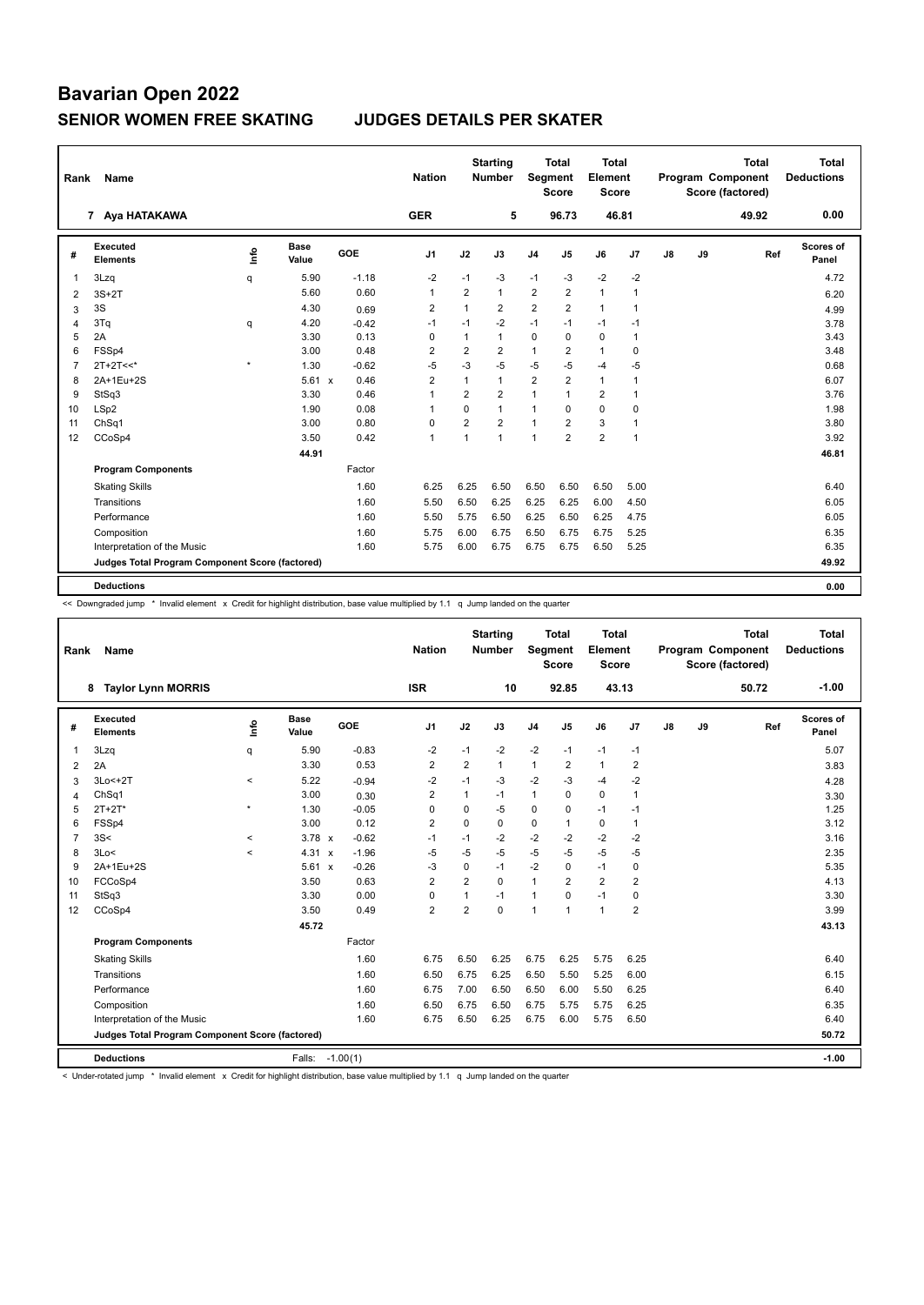| Rank           | Name                                            |         | <b>Nation</b>        |         | <b>Starting</b><br><b>Number</b> | Segment        | Total<br><b>Score</b> | Total<br>Element<br><b>Score</b> |                |                |                | <b>Total</b><br><b>Program Component</b><br>Score (factored) | <b>Total</b><br><b>Deductions</b> |       |                    |
|----------------|-------------------------------------------------|---------|----------------------|---------|----------------------------------|----------------|-----------------------|----------------------------------|----------------|----------------|----------------|--------------------------------------------------------------|-----------------------------------|-------|--------------------|
|                | 7 Aya HATAKAWA                                  |         |                      |         | <b>GER</b>                       |                | 5                     |                                  | 96.73          | 46.81          |                |                                                              |                                   | 49.92 | 0.00               |
| #              | Executed<br><b>Elements</b>                     | ۴ů      | <b>Base</b><br>Value | GOE     | J <sub>1</sub>                   | J2             | J3                    | J4                               | J5             | J6             | J7             | $\mathsf{J}8$                                                | J9                                | Ref   | Scores of<br>Panel |
| 1              | 3Lzq                                            | q       | 5.90                 | $-1.18$ | $-2$                             | $-1$           | -3                    | $-1$                             | $-3$           | $-2$           | $-2$           |                                                              |                                   |       | 4.72               |
| 2              | $3S+2T$                                         |         | 5.60                 | 0.60    | $\mathbf{1}$                     | $\overline{2}$ | 1                     | 2                                | $\overline{2}$ | $\mathbf{1}$   | 1              |                                                              |                                   |       | 6.20               |
| 3              | 3S                                              |         | 4.30                 | 0.69    | $\overline{2}$                   | $\mathbf{1}$   | $\overline{2}$        | 2                                | $\overline{2}$ | $\mathbf{1}$   | $\mathbf{1}$   |                                                              |                                   |       | 4.99               |
| 4              | 3Tq                                             | q       | 4.20                 | $-0.42$ | $-1$                             | $-1$           | $-2$                  | $-1$                             | $-1$           | $-1$           | $-1$           |                                                              |                                   |       | 3.78               |
| 5              | 2A                                              |         | 3.30                 | 0.13    | $\mathbf 0$                      | 1              | 1                     | $\mathbf 0$                      | $\mathbf 0$    | 0              | $\overline{1}$ |                                                              |                                   |       | 3.43               |
| 6              | FSSp4                                           |         | 3.00                 | 0.48    | $\overline{2}$                   | $\overline{2}$ | $\overline{2}$        | $\mathbf{1}$                     | 2              | $\mathbf{1}$   | 0              |                                                              |                                   |       | 3.48               |
| $\overline{7}$ | $2T+2T<<$                                       | $\star$ | 1.30                 | $-0.62$ | $-5$                             | $-3$           | $-5$                  | $-5$                             | $-5$           | $-4$           | $-5$           |                                                              |                                   |       | 0.68               |
| 8              | 2A+1Eu+2S                                       |         | $5.61 \times$        | 0.46    | $\overline{2}$                   | $\mathbf{1}$   | 1                     | 2                                | $\overline{2}$ | $\mathbf{1}$   | $\overline{1}$ |                                                              |                                   |       | 6.07               |
| 9              | StSq3                                           |         | 3.30                 | 0.46    | $\overline{1}$                   | $\overline{2}$ | $\overline{2}$        | $\mathbf{1}$                     | $\mathbf{1}$   | $\overline{2}$ | $\overline{1}$ |                                                              |                                   |       | 3.76               |
| 10             | LSp2                                            |         | 1.90                 | 0.08    | $\overline{1}$                   | $\Omega$       | $\mathbf{1}$          | $\mathbf{1}$                     | $\Omega$       | 0              | 0              |                                                              |                                   |       | 1.98               |
| 11             | ChSq1                                           |         | 3.00                 | 0.80    | 0                                | $\overline{2}$ | $\overline{2}$        | $\overline{1}$                   | $\overline{2}$ | 3              | 1              |                                                              |                                   |       | 3.80               |
| 12             | CCoSp4                                          |         | 3.50                 | 0.42    | $\mathbf{1}$                     | 1              | 1                     | $\overline{1}$                   | $\overline{2}$ | $\overline{2}$ | $\mathbf{1}$   |                                                              |                                   |       | 3.92               |
|                |                                                 |         | 44.91                |         |                                  |                |                       |                                  |                |                |                |                                                              |                                   |       | 46.81              |
|                | <b>Program Components</b>                       |         |                      | Factor  |                                  |                |                       |                                  |                |                |                |                                                              |                                   |       |                    |
|                | <b>Skating Skills</b>                           |         |                      | 1.60    | 6.25                             | 6.25           | 6.50                  | 6.50                             | 6.50           | 6.50           | 5.00           |                                                              |                                   |       | 6.40               |
|                | Transitions                                     |         |                      | 1.60    | 5.50                             | 6.50           | 6.25                  | 6.25                             | 6.25           | 6.00           | 4.50           |                                                              |                                   |       | 6.05               |
|                | Performance                                     |         |                      | 1.60    | 5.50                             | 5.75           | 6.50                  | 6.25                             | 6.50           | 6.25           | 4.75           |                                                              |                                   |       | 6.05               |
|                | Composition                                     |         |                      | 1.60    | 5.75                             | 6.00           | 6.75                  | 6.50                             | 6.75           | 6.75           | 5.25           |                                                              |                                   |       | 6.35               |
|                | Interpretation of the Music                     |         |                      | 1.60    | 5.75                             | 6.00           | 6.75                  | 6.75                             | 6.75           | 6.50           | 5.25           |                                                              |                                   |       | 6.35               |
|                | Judges Total Program Component Score (factored) |         |                      |         |                                  |                |                       |                                  |                |                |                |                                                              |                                   |       | 49.92              |
|                |                                                 |         |                      |         |                                  |                |                       |                                  |                |                |                |                                                              |                                   |       |                    |
|                | <b>Deductions</b>                               |         |                      |         |                                  |                |                       |                                  |                |                |                |                                                              |                                   |       | 0.00               |

<< Downgraded jump \* Invalid element x Credit for highlight distribution, base value multiplied by 1.1 q Jump landed on the quarter

| Rank           | <b>Name</b>                                     |             |                      |            | <b>Nation</b>  |                | <b>Starting</b><br><b>Number</b> | Segment        | <b>Total</b><br><b>Score</b> | <b>Total</b><br>Element<br><b>Score</b> |                |    |    | <b>Total</b><br><b>Program Component</b><br>Score (factored) | <b>Total</b><br><b>Deductions</b> |
|----------------|-------------------------------------------------|-------------|----------------------|------------|----------------|----------------|----------------------------------|----------------|------------------------------|-----------------------------------------|----------------|----|----|--------------------------------------------------------------|-----------------------------------|
|                | <b>Taylor Lynn MORRIS</b><br>8                  |             |                      |            | <b>ISR</b>     |                | 10                               |                | 92.85                        | 43.13                                   |                |    |    | 50.72                                                        | $-1.00$                           |
| #              | Executed<br><b>Elements</b>                     | <u>info</u> | <b>Base</b><br>Value | GOE        | J <sub>1</sub> | J2             | J3                               | J <sub>4</sub> | J <sub>5</sub>               | J6                                      | J7             | J8 | J9 | Ref                                                          | Scores of<br>Panel                |
| 1              | 3Lzq                                            | q           | 5.90                 | $-0.83$    | $-2$           | $-1$           | $-2$                             | $-2$           | $-1$                         | $-1$                                    | $-1$           |    |    |                                                              | 5.07                              |
| 2              | 2A                                              |             | 3.30                 | 0.53       | $\overline{2}$ | $\overline{2}$ | $\mathbf{1}$                     | $\mathbf{1}$   | 2                            | $\mathbf{1}$                            | $\overline{2}$ |    |    |                                                              | 3.83                              |
| 3              | 3Lo<+2T                                         | $\,<\,$     | 5.22                 | $-0.94$    | $-2$           | $-1$           | $-3$                             | $-2$           | $-3$                         | $-4$                                    | $-2$           |    |    |                                                              | 4.28                              |
| $\overline{4}$ | ChSq1                                           |             | 3.00                 | 0.30       | $\overline{2}$ | 1              | $-1$                             | $\mathbf{1}$   | $\Omega$                     | $\mathbf 0$                             | 1              |    |    |                                                              | 3.30                              |
| 5              | $2T+2T^*$                                       | $\star$     | 1.30                 | $-0.05$    | 0              | 0              | $-5$                             | 0              | 0                            | $-1$                                    | $-1$           |    |    |                                                              | 1.25                              |
| 6              | FSSp4                                           |             | 3.00                 | 0.12       | $\overline{2}$ | $\Omega$       | 0                                | 0              | 1                            | $\mathbf 0$                             | $\mathbf{1}$   |    |    |                                                              | 3.12                              |
| $\overline{7}$ | 3S<                                             | $\,<\,$     | $3.78 \times$        | $-0.62$    | $-1$           | $-1$           | $-2$                             | $-2$           | $-2$                         | $-2$                                    | $-2$           |    |    |                                                              | 3.16                              |
| 8              | 3Lo<                                            | $\hat{}$    | 4.31<br>$\mathbf{x}$ | $-1.96$    | $-5$           | $-5$           | $-5$                             | $-5$           | $-5$                         | $-5$                                    | $-5$           |    |    |                                                              | 2.35                              |
| 9              | 2A+1Eu+2S                                       |             | 5.61 x               | $-0.26$    | $-3$           | $\mathbf 0$    | $-1$                             | $-2$           | $\Omega$                     | $-1$                                    | 0              |    |    |                                                              | 5.35                              |
| 10             | FCCoSp4                                         |             | 3.50                 | 0.63       | 2              | $\overline{2}$ | $\Omega$                         | $\mathbf{1}$   | 2                            | $\overline{2}$                          | $\overline{2}$ |    |    |                                                              | 4.13                              |
| 11             | StSq3                                           |             | 3.30                 | 0.00       | 0              | 1              | $-1$                             | $\mathbf{1}$   | $\Omega$                     | $-1$                                    | 0              |    |    |                                                              | 3.30                              |
| 12             | CCoSp4                                          |             | 3.50                 | 0.49       | $\overline{2}$ | $\overline{2}$ | 0                                | $\overline{1}$ | 1                            | $\mathbf{1}$                            | $\overline{2}$ |    |    |                                                              | 3.99                              |
|                |                                                 |             | 45.72                |            |                |                |                                  |                |                              |                                         |                |    |    |                                                              | 43.13                             |
|                | <b>Program Components</b>                       |             |                      | Factor     |                |                |                                  |                |                              |                                         |                |    |    |                                                              |                                   |
|                | <b>Skating Skills</b>                           |             |                      | 1.60       | 6.75           | 6.50           | 6.25                             | 6.75           | 6.25                         | 5.75                                    | 6.25           |    |    |                                                              | 6.40                              |
|                | Transitions                                     |             |                      | 1.60       | 6.50           | 6.75           | 6.25                             | 6.50           | 5.50                         | 5.25                                    | 6.00           |    |    |                                                              | 6.15                              |
|                | Performance                                     |             |                      | 1.60       | 6.75           | 7.00           | 6.50                             | 6.50           | 6.00                         | 5.50                                    | 6.25           |    |    |                                                              | 6.40                              |
|                | Composition                                     |             |                      | 1.60       | 6.50           | 6.75           | 6.50                             | 6.75           | 5.75                         | 5.75                                    | 6.25           |    |    |                                                              | 6.35                              |
|                | Interpretation of the Music                     |             |                      | 1.60       | 6.75           | 6.50           | 6.25                             | 6.75           | 6.00                         | 5.75                                    | 6.50           |    |    |                                                              | 6.40                              |
|                | Judges Total Program Component Score (factored) |             |                      |            |                |                |                                  |                |                              |                                         |                |    |    |                                                              | 50.72                             |
|                | <b>Deductions</b>                               |             | Falls:               | $-1.00(1)$ |                |                |                                  |                |                              |                                         |                |    |    |                                                              | $-1.00$                           |

< Under-rotated jump \* Invalid element x Credit for highlight distribution, base value multiplied by 1.1 q Jump landed on the quarter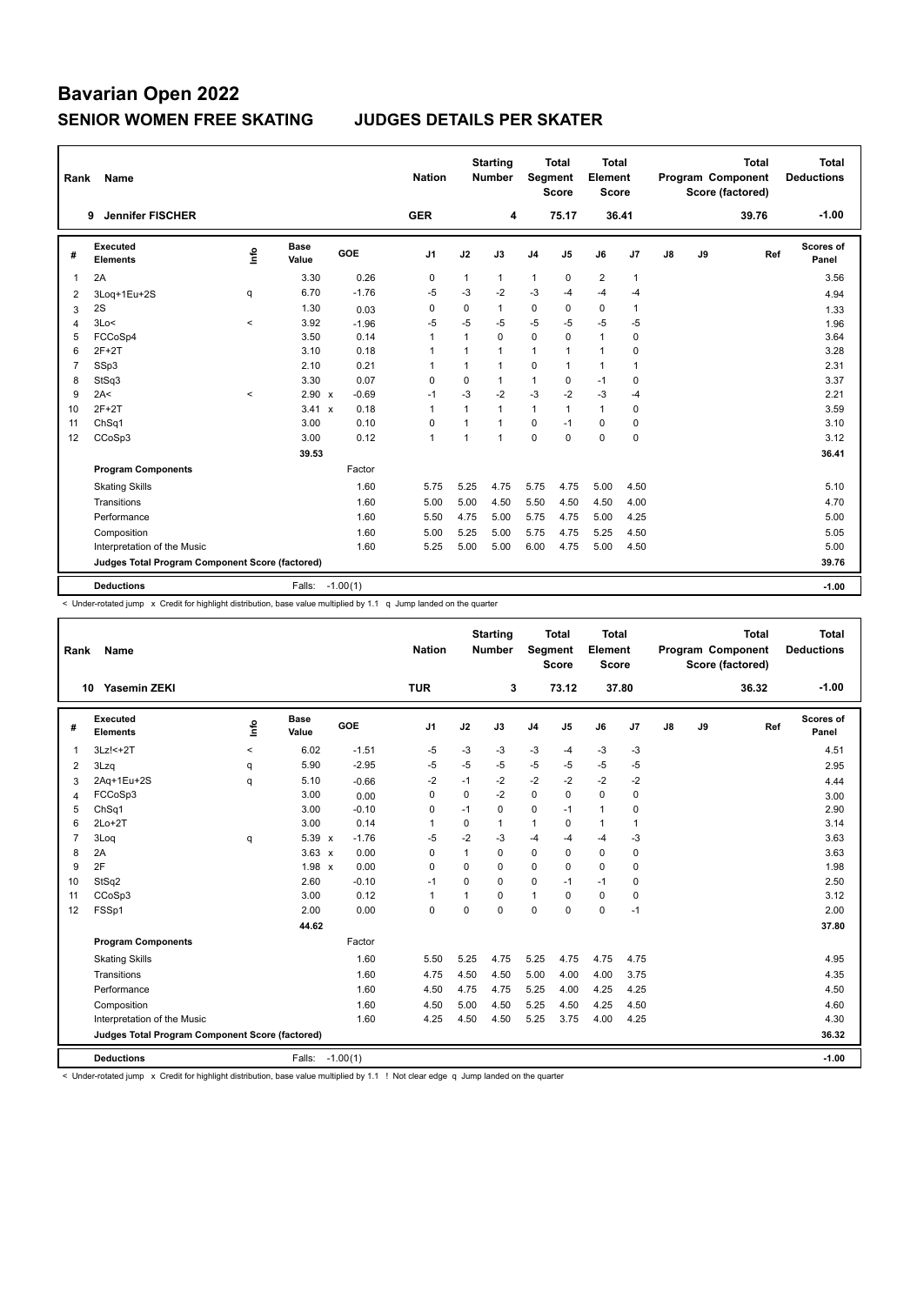| Rank           | Name                                            |         |                      |         | <b>Nation</b>  |                | <b>Starting</b><br><b>Number</b> | Segment        | <b>Total</b><br><b>Score</b> | <b>Total</b><br>Element<br><b>Score</b> |                |    |    | <b>Total</b><br>Program Component<br>Score (factored) | <b>Total</b><br><b>Deductions</b> |
|----------------|-------------------------------------------------|---------|----------------------|---------|----------------|----------------|----------------------------------|----------------|------------------------------|-----------------------------------------|----------------|----|----|-------------------------------------------------------|-----------------------------------|
|                | <b>Jennifer FISCHER</b><br>9                    |         |                      |         | <b>GER</b>     |                | 4                                |                | 75.17                        |                                         | 36.41          |    |    | 39.76                                                 | $-1.00$                           |
| #              | <b>Executed</b><br><b>Elements</b>              | lnfo    | <b>Base</b><br>Value | GOE     | J <sub>1</sub> | J2             | J3                               | J <sub>4</sub> | J5                           | J6                                      | J7             | J8 | J9 | Ref                                                   | Scores of<br>Panel                |
| $\mathbf{1}$   | 2A                                              |         | 3.30                 | 0.26    | $\mathbf 0$    | $\mathbf{1}$   | $\mathbf{1}$                     | $\mathbf{1}$   | $\mathbf 0$                  | $\overline{2}$                          | $\mathbf{1}$   |    |    |                                                       | 3.56                              |
| 2              | 3Log+1Eu+2S                                     | q       | 6.70                 | $-1.76$ | $-5$           | $-3$           | $-2$                             | $-3$           | $-4$                         | $-4$                                    | $-4$           |    |    |                                                       | 4.94                              |
| 3              | 2S                                              |         | 1.30                 | 0.03    | 0              | 0              | 1                                | $\mathbf 0$    | 0                            | 0                                       | $\mathbf{1}$   |    |    |                                                       | 1.33                              |
| 4              | 3Lo<                                            | $\,<\,$ | 3.92                 | $-1.96$ | $-5$           | $-5$           | $-5$                             | $-5$           | $-5$                         | $-5$                                    | $-5$           |    |    |                                                       | 1.96                              |
| 5              | FCCoSp4                                         |         | 3.50                 | 0.14    | $\mathbf{1}$   | 1              | 0                                | $\mathbf 0$    | $\mathbf 0$                  | $\mathbf{1}$                            | 0              |    |    |                                                       | 3.64                              |
| 6              | $2F+2T$                                         |         | 3.10                 | 0.18    | $\mathbf{1}$   | $\mathbf{1}$   | 1                                | $\overline{1}$ | 1                            | $\mathbf{1}$                            | $\mathbf 0$    |    |    |                                                       | 3.28                              |
| $\overline{7}$ | SSp3                                            |         | 2.10                 | 0.21    | $\overline{1}$ | $\mathbf{1}$   | 1                                | $\mathbf 0$    | $\mathbf{1}$                 | $\mathbf{1}$                            | $\overline{1}$ |    |    |                                                       | 2.31                              |
| 8              | StSq3                                           |         | 3.30                 | 0.07    | 0              | 0              | 1                                | $\mathbf{1}$   | 0                            | $-1$                                    | 0              |    |    |                                                       | 3.37                              |
| 9              | 2A<                                             | $\prec$ | $2.90 \times$        | $-0.69$ | $-1$           | $-3$           | $-2$                             | $-3$           | $-2$                         | $-3$                                    | $-4$           |    |    |                                                       | 2.21                              |
| 10             | $2F+2T$                                         |         | 3.41<br>$\mathsf{x}$ | 0.18    | $\overline{1}$ | 1              | 1                                | $\mathbf{1}$   | $\mathbf{1}$                 | $\mathbf{1}$                            | $\mathbf 0$    |    |    |                                                       | 3.59                              |
| 11             | ChSq1                                           |         | 3.00                 | 0.10    | $\mathbf 0$    | $\overline{ }$ | 1                                | $\mathbf 0$    | $-1$                         | $\mathbf 0$                             | 0              |    |    |                                                       | 3.10                              |
| 12             | CCoSp3                                          |         | 3.00                 | 0.12    | $\mathbf{1}$   | $\mathbf{1}$   | 1                                | $\Omega$       | $\Omega$                     | $\Omega$                                | 0              |    |    |                                                       | 3.12                              |
|                |                                                 |         | 39.53                |         |                |                |                                  |                |                              |                                         |                |    |    |                                                       | 36.41                             |
|                | <b>Program Components</b>                       |         |                      | Factor  |                |                |                                  |                |                              |                                         |                |    |    |                                                       |                                   |
|                | <b>Skating Skills</b>                           |         |                      | 1.60    | 5.75           | 5.25           | 4.75                             | 5.75           | 4.75                         | 5.00                                    | 4.50           |    |    |                                                       | 5.10                              |
|                | Transitions                                     |         |                      | 1.60    | 5.00           | 5.00           | 4.50                             | 5.50           | 4.50                         | 4.50                                    | 4.00           |    |    |                                                       | 4.70                              |
|                | Performance                                     |         |                      | 1.60    | 5.50           | 4.75           | 5.00                             | 5.75           | 4.75                         | 5.00                                    | 4.25           |    |    |                                                       | 5.00                              |
|                | Composition                                     |         |                      | 1.60    | 5.00           | 5.25           | 5.00                             | 5.75           | 4.75                         | 5.25                                    | 4.50           |    |    |                                                       | 5.05                              |
|                | Interpretation of the Music                     |         |                      | 1.60    | 5.25           | 5.00           | 5.00                             | 6.00           | 4.75                         | 5.00                                    | 4.50           |    |    |                                                       | 5.00                              |
|                | Judges Total Program Component Score (factored) |         |                      |         |                |                |                                  |                |                              |                                         |                |    |    |                                                       | 39.76                             |
|                | <b>Deductions</b>                               |         | Falls: -1.00(1)      |         |                |                |                                  |                |                              |                                         |                |    |    |                                                       | $-1.00$                           |

< Under-rotated jump x Credit for highlight distribution, base value multiplied by 1.1 q Jump landed on the quarter

| Rank           | <b>Name</b>                                     |         |                      |            | <b>Nation</b>  |             | <b>Starting</b><br><b>Number</b> | <b>Segment</b> | <b>Total</b><br><b>Score</b> | <b>Total</b><br>Element<br><b>Score</b> |                |               |    | <b>Total</b><br>Program Component<br>Score (factored) | <b>Total</b><br><b>Deductions</b> |
|----------------|-------------------------------------------------|---------|----------------------|------------|----------------|-------------|----------------------------------|----------------|------------------------------|-----------------------------------------|----------------|---------------|----|-------------------------------------------------------|-----------------------------------|
|                | <b>Yasemin ZEKI</b><br>10                       |         |                      |            | <b>TUR</b>     |             | 3                                |                | 73.12                        |                                         | 37.80          |               |    | 36.32                                                 | $-1.00$                           |
| #              | Executed<br><b>Elements</b>                     | info    | <b>Base</b><br>Value | <b>GOE</b> | J <sub>1</sub> | J2          | J3                               | J <sub>4</sub> | J <sub>5</sub>               | J6                                      | J <sub>7</sub> | $\mathsf{J}8$ | J9 | Ref                                                   | Scores of<br>Panel                |
| $\overline{1}$ | $3Lz! < +2T$                                    | $\prec$ | 6.02                 | $-1.51$    | -5             | -3          | $-3$                             | $-3$           | $-4$                         | $-3$                                    | $-3$           |               |    |                                                       | 4.51                              |
| 2              | 3Lzq                                            | q       | 5.90                 | $-2.95$    | -5             | $-5$        | $-5$                             | $-5$           | $-5$                         | $-5$                                    | -5             |               |    |                                                       | 2.95                              |
| 3              | 2Aq+1Eu+2S                                      | q       | 5.10                 | $-0.66$    | $-2$           | $-1$        | $-2$                             | $-2$           | $-2$                         | $-2$                                    | $-2$           |               |    |                                                       | 4.44                              |
| 4              | FCCoSp3                                         |         | 3.00                 | 0.00       | $\Omega$       | $\Omega$    | -2                               | 0              | $\Omega$                     | $\Omega$                                | $\mathbf 0$    |               |    |                                                       | 3.00                              |
| 5              | ChSq1                                           |         | 3.00                 | $-0.10$    | 0              | $-1$        | $\Omega$                         | $\mathbf 0$    | $-1$                         | 1                                       | 0              |               |    |                                                       | 2.90                              |
| 6              | $2Lo+2T$                                        |         | 3.00                 | 0.14       | $\overline{1}$ | $\mathbf 0$ | 1                                | $\mathbf{1}$   | $\mathbf 0$                  | 1                                       | $\overline{1}$ |               |    |                                                       | 3.14                              |
| $\overline{7}$ | 3Log                                            | q       | 5.39 x               | $-1.76$    | $-5$           | $-2$        | $-3$                             | $-4$           | $-4$                         | $-4$                                    | -3             |               |    |                                                       | 3.63                              |
| 8              | 2A                                              |         | $3.63 \times$        | 0.00       | 0              | 1           | 0                                | 0              | 0                            | 0                                       | $\mathbf 0$    |               |    |                                                       | 3.63                              |
| 9              | 2F                                              |         | 1.98 x               | 0.00       | $\Omega$       | $\Omega$    | $\Omega$                         | $\Omega$       | $\Omega$                     | 0                                       | $\mathbf 0$    |               |    |                                                       | 1.98                              |
| 10             | StSq2                                           |         | 2.60                 | $-0.10$    | $-1$           | $\mathbf 0$ | $\Omega$                         | $\mathbf 0$    | $-1$                         | $-1$                                    | $\mathbf 0$    |               |    |                                                       | 2.50                              |
| 11             | CCoSp3                                          |         | 3.00                 | 0.12       | $\overline{1}$ | 1           | 0                                | $\mathbf{1}$   | 0                            | 0                                       | 0              |               |    |                                                       | 3.12                              |
| 12             | FSSp1                                           |         | 2.00                 | 0.00       | $\mathbf 0$    | $\Omega$    | $\Omega$                         | $\Omega$       | $\Omega$                     | 0                                       | $-1$           |               |    |                                                       | 2.00                              |
|                |                                                 |         | 44.62                |            |                |             |                                  |                |                              |                                         |                |               |    |                                                       | 37.80                             |
|                | <b>Program Components</b>                       |         |                      | Factor     |                |             |                                  |                |                              |                                         |                |               |    |                                                       |                                   |
|                | <b>Skating Skills</b>                           |         |                      | 1.60       | 5.50           | 5.25        | 4.75                             | 5.25           | 4.75                         | 4.75                                    | 4.75           |               |    |                                                       | 4.95                              |
|                | Transitions                                     |         |                      | 1.60       | 4.75           | 4.50        | 4.50                             | 5.00           | 4.00                         | 4.00                                    | 3.75           |               |    |                                                       | 4.35                              |
|                | Performance                                     |         |                      | 1.60       | 4.50           | 4.75        | 4.75                             | 5.25           | 4.00                         | 4.25                                    | 4.25           |               |    |                                                       | 4.50                              |
|                | Composition                                     |         |                      | 1.60       | 4.50           | 5.00        | 4.50                             | 5.25           | 4.50                         | 4.25                                    | 4.50           |               |    |                                                       | 4.60                              |
|                | Interpretation of the Music                     |         |                      | 1.60       | 4.25           | 4.50        | 4.50                             | 5.25           | 3.75                         | 4.00                                    | 4.25           |               |    |                                                       | 4.30                              |
|                | Judges Total Program Component Score (factored) |         |                      |            |                |             |                                  |                |                              |                                         |                |               |    |                                                       | 36.32                             |
|                | <b>Deductions</b>                               |         | Falls:               | $-1.00(1)$ |                |             |                                  |                |                              |                                         |                |               |    |                                                       | $-1.00$                           |

< Under-rotated jump x Credit for highlight distribution, base value multiplied by 1.1 ! Not clear edge q Jump landed on the quarter